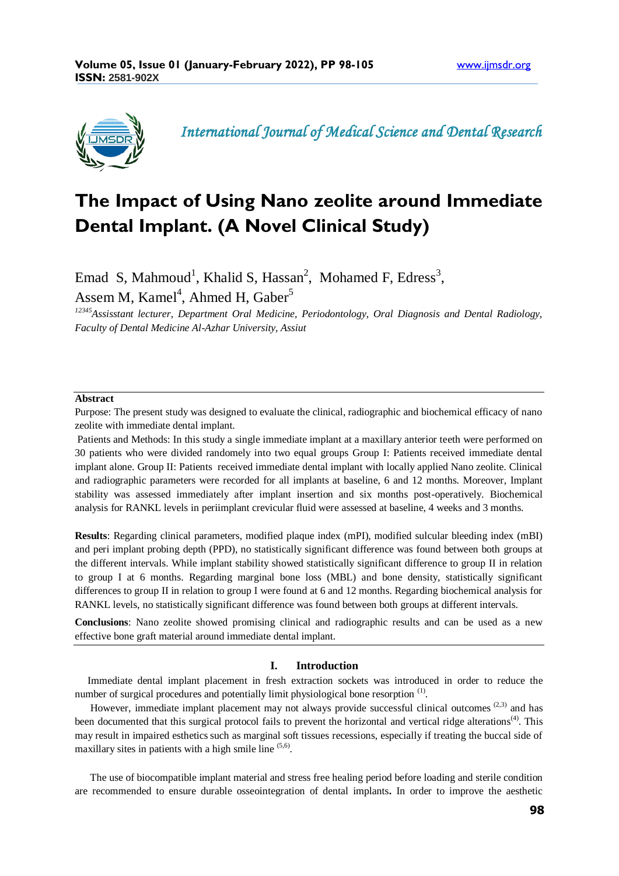

 *International Journal of Medical Science and Dental Research*

# **The Impact of Using Nano zeolite around Immediate Dental Implant. (A Novel Clinical Study)**

Emad S, Mahmoud<sup>1</sup>, Khalid S, Hassan<sup>2</sup>, Mohamed F, Edress<sup>3</sup>, Assem M, Kamel<sup>4</sup>, Ahmed H, Gaber<sup>5</sup>

*<sup>12345</sup>Assisstant lecturer, Department Oral Medicine, Periodontology, Oral Diagnosis and Dental Radiology, Faculty of Dental Medicine Al-Azhar University, Assiut*

### **Abstract**

Purpose: The present study was designed to evaluate the clinical, radiographic and biochemical efficacy of nano zeolite with immediate dental implant.

Patients and Methods: In this study a single immediate implant at a maxillary anterior teeth were performed on 30 patients who were divided randomely into two equal groups Group I: Patients received immediate dental implant alone. Group II: Patients received immediate dental implant with locally applied Nano zeolite. Clinical and radiographic parameters were recorded for all implants at baseline, 6 and 12 months. Moreover, Implant stability was assessed immediately after implant insertion and six months post-operatively. Biochemical analysis for RANKL levels in periimplant crevicular fluid were assessed at baseline, 4 weeks and 3 months.

**Results**: Regarding clinical parameters, modified plaque index (mPI), modified sulcular bleeding index (mBI) and peri implant probing depth (PPD), no statistically significant difference was found between both groups at the different intervals. While implant stability showed statistically significant difference to group II in relation to group I at 6 months. Regarding marginal bone loss (MBL) and bone density, statistically significant differences to group II in relation to group I were found at 6 and 12 months. Regarding biochemical analysis for RANKL levels, no statistically significant difference was found between both groups at different intervals.

**Conclusions**: Nano zeolite showed promising clinical and radiographic results and can be used as a new effective bone graft material around immediate dental implant.

# **I. Introduction**

 Immediate dental implant placement in fresh extraction sockets was introduced in order to reduce the number of surgical procedures and potentially limit physiological bone resorption  $(1)$ .

However, immediate implant placement may not always provide successful clinical outcomes  $(2,3)$  and has been documented that this surgical protocol fails to prevent the horizontal and vertical ridge alterations<sup>(4)</sup>. This may result in impaired esthetics such as marginal soft tissues recessions, especially if treating the buccal side of maxillary sites in patients with a high smile line  $(5,6)$ .

 The use of biocompatible implant material and stress free healing period before loading and sterile condition are recommended to ensure durable osseointegration of dental implants**.** In order to improve the aesthetic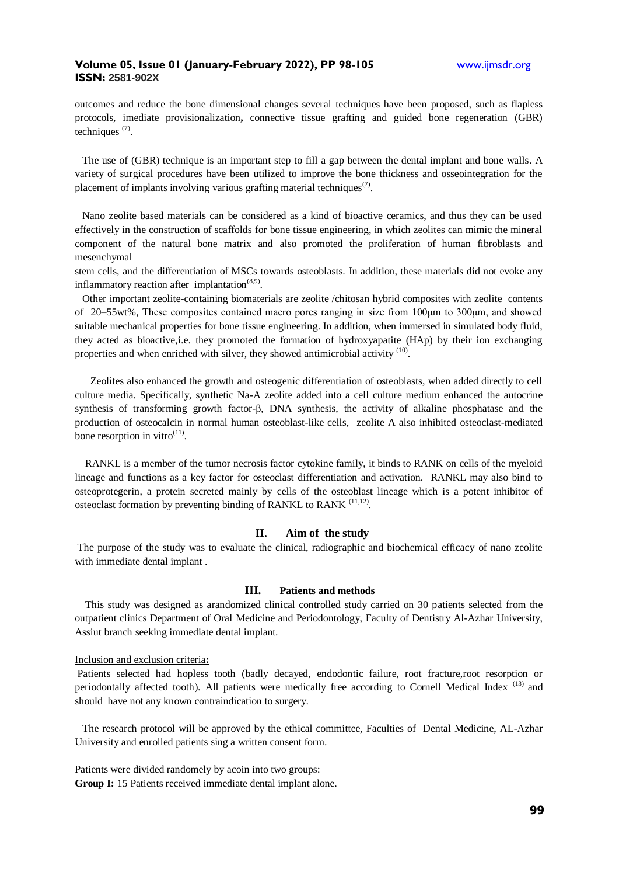outcomes and reduce the bone dimensional changes several techniques have been proposed, such as flapless protocols, imediate provisionalization**,** connective tissue grafting and guided bone regeneration (GBR) techniques $(7)$ .

 The use of (GBR) technique is an important step to fill a gap between the dental implant and bone walls. A variety of surgical procedures have been utilized to improve the bone thickness and osseointegration for the placement of implants involving various grafting material techniques<sup> $(7)$ </sup>.

 Nano zeolite based materials can be considered as a kind of bioactive ceramics, and thus they can be used effectively in the construction of scaffolds for bone tissue engineering, in which zeolites can mimic the mineral component of the natural bone matrix and also promoted the proliferation of human fibroblasts and mesenchymal

stem cells, and the differentiation of MSCs towards osteoblasts. In addition, these materials did not evoke any inflammatory reaction after implantation $(8,9)$ .

 Other important zeolite-containing biomaterials are zeolite /chitosan hybrid composites with zeolite contents of 20–55wt%, These composites contained macro pores ranging in size from 100μm to 300μm, and showed suitable mechanical properties for bone tissue engineering. In addition, when immersed in simulated body fluid, they acted as bioactive,i.e. they promoted the formation of hydroxyapatite (HAp) by their ion exchanging properties and when enriched with silver, they showed antimicrobial activity <sup>(10)</sup>.

 Zeolites also enhanced the growth and osteogenic differentiation of osteoblasts, when added directly to cell culture media. Specifically, synthetic Na-A zeolite added into a cell culture medium enhanced the autocrine synthesis of transforming growth factor-β, DNA synthesis, the activity of alkaline phosphatase and the production of osteocalcin in normal human osteoblast-like cells, zeolite A also inhibited osteoclast-mediated bone resorption in vitro $(11)$ .

 RANKL is a member of th[e tumor necrosis factor](https://en.wikipedia.org/wiki/Tumor_necrosis_factor) [cytokine](https://en.wikipedia.org/wiki/Cytokine) family, it binds to RANK on cells of the myeloid lineage and functions as a key factor for [osteoclast](https://en.wikipedia.org/wiki/Osteoclast) differentiation and activation. RANKL may also bind to [osteoprotegerin,](https://en.wikipedia.org/wiki/Osteoprotegerin) a protein secreted mainly by cells of the osteoblast lineage which is a potent inhibitor of osteoclast formation by preventing binding of RANKL to RANK <sup>(11,12)</sup>.

#### **II. Aim of the study**

The purpose of the study was to evaluate the clinical, radiographic and biochemical efficacy of nano zeolite with immediate dental implant .

#### **III. Patients and methods**

 This study was designed as arandomized clinical controlled study carried on 30 patients selected from the outpatient clinics Department of Oral Medicine and Periodontology, Faculty of Dentistry Al-Azhar University, Assiut branch seeking immediate dental implant.

#### Inclusion and exclusion criteria**:**

Patients selected had hopless tooth (badly decayed, endodontic failure, root fracture,root resorption or periodontally affected tooth). All patients were medically free according to Cornell Medical Index<sup>(13)</sup> and should have not any known contraindication to surgery.

 The research protocol will be approved by the ethical committee, Faculties of Dental Medicine, AL-Azhar University and enrolled patients sing a written consent form.

Patients were divided randomely by acoin into two groups: **Group I:** 15 Patients received immediate dental implant alone.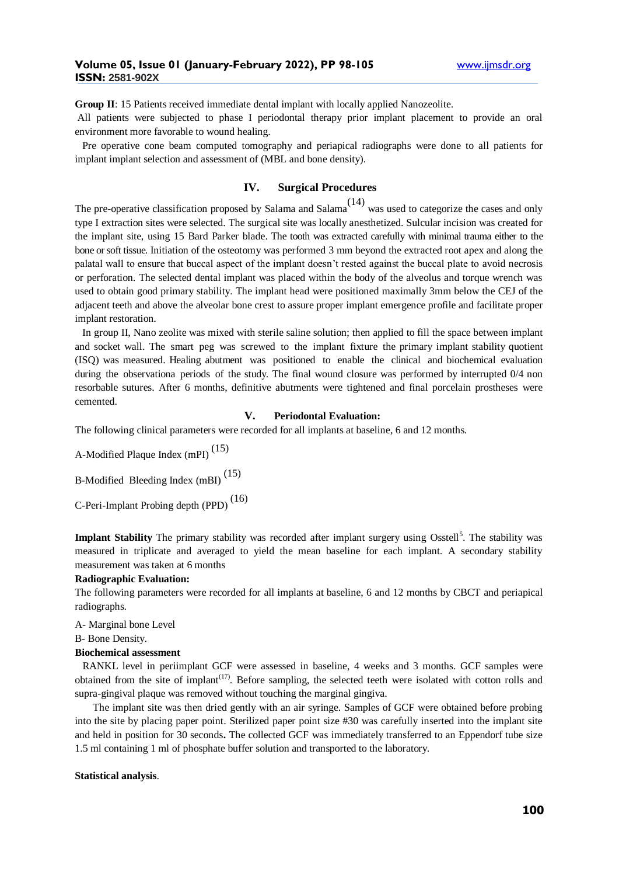**Group II**: 15 Patients received immediate dental implant with locally applied Nanozeolite.

All patients were subjected to phase I periodontal therapy prior implant placement to provide an oral environment more favorable to wound healing.

 Pre operative cone beam computed tomography and periapical radiographs were done to all patients for implant implant selection and assessment of (MBL and bone density).

# **IV. Surgical Procedures**

The pre-operative classification proposed by Salama and Salama<sup> $(14)$ </sup> was used to categorize the cases and only type I extraction sites were selected. The surgical site was locally anesthetized. Sulcular incision was created for the implant site, using 15 Bard Parker blade. The tooth was extracted carefully with minimal trauma either to the bone orsoft tissue. Initiation of the osteotomy was performed 3 mm beyond the extracted root apex and along the palatal wall to ensure that buccal aspect of the implant doesn't rested against the buccal plate to avoid necrosis or perforation. The selected dental implant was placed within the body of the alveolus and torque wrench was used to obtain good primary stability. The implant head were positioned maximally 3mm below the CEJ of the adjacent teeth and above the alveolar bone crest to assure proper implant emergence profile and facilitate proper implant restoration.

In group II, Nano zeolite was mixed with sterile saline solution; then applied to fill the space between implant and socket wall. The smart peg was screwed to the implant fixture the primary implant stability quotient (ISQ) was measured. Healing abutment was positioned to enable the clinical and biochemical evaluation during the observationa periods of the study. The final wound closure was performed by interrupted 0/4 non resorbable sutures. After 6 months, definitive abutments were tightened and final porcelain prostheses were cemented.

# **V. Periodontal Evaluation:**

The following clinical parameters were recorded for all implants at baseline, 6 and 12 months.

A-Modified Plaque Index (mPI) (15)

B-Modified Bleeding Index (mBI) (15)

C-Peri-Implant Probing depth (PPD) (16)

Implant Stability The primary stability was recorded after implant surgery using Osstell<sup>5</sup>. The stability was measured in triplicate and averaged to yield the mean baseline for each implant. A secondary stability measurement was taken at 6 months

#### **Radiographic Evaluation:**

The following parameters were recorded for all implants at baseline, 6 and 12 months by CBCT and periapical radiographs.

A- Marginal bone Level

B- Bone Density.

#### **Biochemical assessment**

 RANKL level in periimplant GCF were assessed in baseline, 4 weeks and 3 months. GCF samples were obtained from the site of implant<sup> $(17)$ </sup>. Before sampling, the selected teeth were isolated with cotton rolls and supra-gingival plaque was removed without touching the marginal gingiva.

 The implant site was then dried gently with an air syringe. Samples of GCF were obtained before probing into the site by placing paper point. Sterilized paper point size #30 was carefully inserted into the implant site and held in position for 30 seconds**.** The collected GCF was immediately transferred to an Eppendorf tube size 1.5 ml containing 1 ml of phosphate buffer solution and transported to the laboratory.

#### **Statistical analysis**.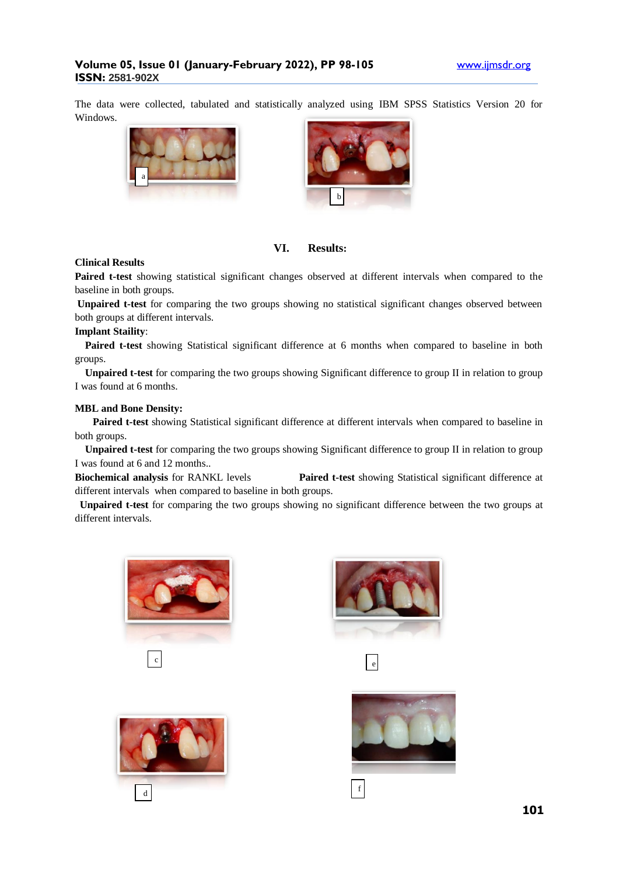The data were collected, tabulated and statistically analyzed using IBM SPSS Statistics Version 20 for Windows.





**VI. Results:**

# **Clinical Results**

**Paired t-test** showing statistical significant changes observed at different intervals when compared to the baseline in both groups.

**Unpaired t-test** for comparing the two groups showing no statistical significant changes observed between both groups at different intervals.

## **Implant Staility**:

 **Paired t-test** showing Statistical significant difference at 6 months when compared to baseline in both groups.

 **Unpaired t-test** for comparing the two groups showing Significant difference to group II in relation to group I was found at 6 months.

## **MBL and Bone Density:**

**Paired t-test** showing Statistical significant difference at different intervals when compared to baseline in both groups.

 **Unpaired t-test** for comparing the two groups showing Significant difference to group II in relation to group I was found at 6 and 12 months..

**Biochemical analysis** for RANKL levels **Paired t-test** showing Statistical significant difference at different intervals when compared to baseline in both groups.

**Unpaired t-test** for comparing the two groups showing no significant difference between the two groups at different intervals.











f



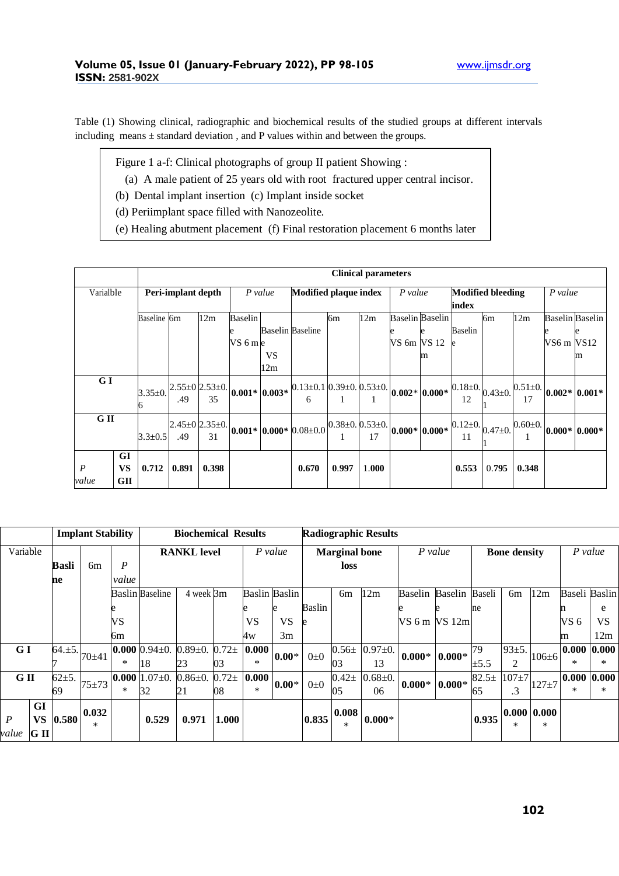Table (1) Showing clinical, radiographic and biochemical results of the studied groups at different intervals including means ± standard deviation , and P values within and between the groups.

- Figure 1 a-f: Clinical photographs of group II patient Showing :
- (a) A male patient of 25 years old with root fractured upper central incisor.
- (b) Dental implant insertion (c) Implant inside socket
- (d) Periimplant space filled with Nanozeolite.
- (e) Healing abutment placement (f) Final restoration placement 6 months later

|                  |           | <b>Clinical parameters</b> |       |                            |                 |     |                                                      |                           |       |                  |                        |                                         |       |               |                        |                                                                          |
|------------------|-----------|----------------------------|-------|----------------------------|-----------------|-----|------------------------------------------------------|---------------------------|-------|------------------|------------------------|-----------------------------------------|-------|---------------|------------------------|--------------------------------------------------------------------------|
| Varialble        |           | Peri-implant depth         |       |                            | P value         |     | <b>Modified plaque index</b>                         |                           |       | $P$ value        |                        | <b>Modified bleeding</b>                |       |               | P value                |                                                                          |
|                  |           |                            |       |                            |                 |     |                                                      |                           |       |                  | index                  |                                         |       |               |                        |                                                                          |
|                  |           | Baseline 6m                |       | 12m                        | <b>Baselin</b>  |     |                                                      | бm                        | 12m   |                  | <b>Baselin</b> Baselin |                                         | 6m    | 12m           | <b>Baselin</b> Baselin |                                                                          |
|                  |           |                            |       |                            | e               |     | <b>Baselin Baseline</b>                              |                           |       |                  |                        | Baselin                                 |       |               |                        |                                                                          |
|                  |           |                            |       |                            | VS 6 m e        |     |                                                      |                           |       | VS 6m VS 12      |                        |                                         |       |               | VS6 m VS12             |                                                                          |
|                  |           |                            |       |                            |                 | VS  |                                                      |                           |       |                  | m                      |                                         |       |               |                        | m                                                                        |
|                  |           |                            |       |                            |                 | 12m |                                                      |                           |       |                  |                        |                                         |       |               |                        |                                                                          |
| G I              |           |                            |       | $2.55 \pm 0$ $2.53 \pm 0.$ |                 |     | $0.13 \pm 0.1$ $0.39 \pm 0.053 \pm 0.$               |                           |       |                  |                        | $0.18 \pm 0.$ $0.43 \pm 0.$   $\degree$ |       |               |                        |                                                                          |
|                  |           | $3.35 \pm 0.$              | .49   | 35                         | $0.001*$ 0.003* |     | 6                                                    |                           |       |                  | $0.002* 0.000*$        | 12                                      |       |               |                        | $\frac{1}{2}$ $\frac{0.51 \pm 0.002}{0.002 \times 0.001 \times 10^{-4}}$ |
|                  |           |                            |       |                            |                 |     |                                                      |                           |       |                  |                        |                                         |       |               |                        |                                                                          |
|                  | G II      |                            |       | $2.45 \pm 0$ $2.35 \pm 0.$ |                 |     | $\vert 0.001* \vert 0.000* \vert 0.08 \pm 0.0 \vert$ | $0.38 \pm 0.0.53 \pm 0.1$ |       | $0.000* 0.000* $ |                        | $0.12 \pm 0.$ $0.47 \pm 0.$   $\degree$ |       | $0.60 \pm 0.$ | $ 0.000* 0.000*$       |                                                                          |
|                  |           | $3.3 \pm 0.5$              | .49   | 31                         |                 |     |                                                      |                           | 17    |                  |                        | 11                                      |       |               |                        |                                                                          |
|                  | GI        |                            |       |                            |                 |     |                                                      |                           |       |                  |                        |                                         |       |               |                        |                                                                          |
| $\boldsymbol{P}$ | <b>VS</b> | 0.712                      | 0.891 | 0.398                      |                 |     | 0.670                                                | 0.997                     | 1.000 |                  |                        | 0.553                                   | 0.795 | 0.348         |                        |                                                                          |
| value            | GП        |                            |       |                            |                 |     |                                                      |                           |       |                  |                        |                                         |       |               |                        |                                                                          |

|                                     |              | <b>Implant Stability</b> |                  | <b>Biochemical Results</b> |             |          |                      |           | <b>Radiographic Results</b> |                  |             |                |          |                     |                   |             |                      |     |  |
|-------------------------------------|--------------|--------------------------|------------------|----------------------------|-------------|----------|----------------------|-----------|-----------------------------|------------------|-------------|----------------|----------|---------------------|-------------------|-------------|----------------------|-----|--|
| Variable                            |              |                          |                  | <b>RANKL</b> level         |             |          | $P$ value            |           | <b>Marginal</b> bone        |                  |             | $P$ value      |          | <b>Bone density</b> |                   |             | P value              |     |  |
|                                     | <b>Basli</b> | 6m                       | $\boldsymbol{P}$ |                            |             |          |                      |           | loss                        |                  |             |                |          |                     |                   |             |                      |     |  |
|                                     | ne           |                          | value            |                            |             |          |                      |           |                             |                  |             |                |          |                     |                   |             |                      |     |  |
|                                     |              |                          |                  | <b>Baslin Baseline</b>     | 4 week 3m   |          | <b>Baslin Baslin</b> |           |                             | 6 <sub>m</sub>   | 12m         | <b>Baselin</b> | Baselin  | Baseli              | 6m                | 12m         | <b>Baseli</b> Baslin |     |  |
|                                     |              |                          |                  |                            |             |          |                      |           | Baslin                      |                  |             |                |          | ne                  |                   |             |                      | e   |  |
|                                     |              |                          | VS               |                            |             |          | <b>VS</b>            | <b>VS</b> | e                           |                  |             | VS 6 m VS 12m  |          |                     |                   |             | VS 6                 | VS. |  |
|                                     |              |                          | 6m               |                            |             |          | 4w                   | 3m        |                             |                  |             |                |          |                     |                   |             | m                    | 12m |  |
| G I                                 | $64. \pm 5.$ | $70 + 41$                |                  | 0.000 $0.94 \pm 0.$        | $0.89 + 0.$ | $0.72 +$ | 0.000                | $0.00*$   | $0\pm 0$                    | $0.56\pm$        | $0.97+0.$   | $0.000*$       | $0.000*$ | 79                  | 93±5.             | $106 \pm 6$ | 0.000 0.000          |     |  |
|                                     |              |                          | *                | 18                         | 23          | 03       | *                    |           |                             | 03               | 13          |                |          | ±5.5                | 2                 |             | $\ast$               | ∗   |  |
| G II                                | $62+5.$      | $75 + 73$                |                  | 0.000 $1.07 \pm 0$ .       | $0.86 + 0.$ | $0.72 +$ | 0.000                | $0.00*$   | $0\pm 0$                    | $0.42 \pm$       | $0.68 + 0.$ | $0.000*$       | $0.000*$ | $82.5+$             | $107 + 7$         | $127 + 7$   | 0.000 0.000          |     |  |
|                                     | 69           |                          | $\ast$           | 32                         | 21          | 08       | $\ast$               |           |                             | 05               | 06          |                |          | 65                  | $\cdot$ 3         |             | $\ast$               | ∗   |  |
| GI<br>$\boldsymbol{P}$<br><b>VS</b> | 0.580        | 0.032<br>$\ast$          |                  | 0.529                      | 0.971       | 1.000    |                      |           | 0.835                       | 0.008 <br>$\ast$ | $ 0.000*$   |                |          | 0.935               | 0.000 0.000 <br>∗ | $\ast$      |                      |     |  |
| G II<br>value                       |              |                          |                  |                            |             |          |                      |           |                             |                  |             |                |          |                     |                   |             |                      |     |  |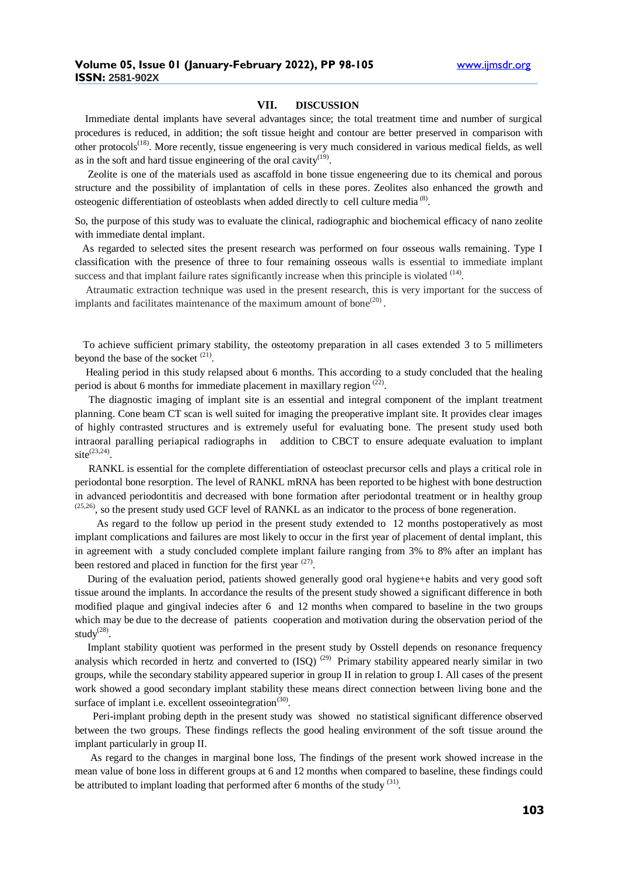#### **VII. DISCUSSION**

 Immediate dental implants have several advantages since; the total treatment time and number of surgical procedures is reduced, in addition; the soft tissue height and contour are better preserved in comparison with other protocols<sup>(18)</sup>. More recently, tissue engeneering is very much considered in various medical fields, as well as in the soft and hard tissue engineering of the oral cavity $(19)$ .

 Zeolite is one of the materials used as ascaffold in bone tissue engeneering due to its chemical and porous structure and the possibility of implantation of cells in these pores. Zeolites also enhanced the growth and osteogenic differentiation of osteoblasts when added directly to cell culture media  $(8)$ .

So, the purpose of this study was to evaluate the clinical, radiographic and biochemical efficacy of nano zeolite with immediate dental implant.

 As regarded to selected sites the present research was performed on four osseous walls remaining. Type I classification with the presence of three to four remaining osseous walls is essential to immediate implant success and that implant failure rates significantly increase when this principle is violated  $<sup>(14)</sup>$ .</sup>

 Atraumatic extraction technique was used in the present research, this is very important for the success of implants and facilitates maintenance of the maximum amount of bone $(20)$ .

 To achieve sufficient primary stability, the osteotomy preparation in all cases extended 3 to 5 millimeters beyond the base of the socket  $(21)$ .

 Healing period in this study relapsed about 6 months. This according to a study concluded that the healing period is about 6 months for immediate placement in maxillary region  $(22)$ .

 The diagnostic imaging of implant site is an essential and integral component of the implant treatment planning. Cone beam CT scan is well suited for imaging the preoperative implant site. It provides clear images of highly contrasted structures and is extremely useful for evaluating bone. The present study used both intraoral paralling periapical radiographs in addition to CBCT to ensure adequate evaluation to implant  $site^{(23,24)}$ .

 RANKL is essential for the complete differentiation of osteoclast precursor cells and plays a critical role in periodontal bone resorption. The level of RANKL mRNA has been reported to be highest with bone destruction in advanced periodontitis and decreased with bone formation after periodontal treatment or in healthy group  $(25,26)$ , so the present study used GCF level of RANKL as an indicator to the process of bone regeneration.

 As regard to the follow up period in the present study extended to 12 months postoperatively as most implant complications and failures are most likely to occur in the first year of placement of dental implant, this in agreement with a study concluded complete implant failure ranging from 3% to 8% after an implant has been restored and placed in function for the first year  $(27)$ .

 During of the evaluation period, patients showed generally good oral hygiene+e habits and very good soft tissue around the implants. In accordance the results of the present study showed a significant difference in both modified plaque and gingival indecies after 6 and 12 months when compared to baseline in the two groups which may be due to the decrease of patients cooperation and motivation during the observation period of the study $^{(28)}$ .

 Implant stability quotient was performed in the present study by Osstell depends on resonance frequency analysis which recorded in hertz and converted to  $(ISO)$   $(29)$  Primary stability appeared nearly similar in two groups, while the secondary stability appeared superior in group II in relation to group I. All cases of the present work showed a good secondary implant stability these means direct connection between living bone and the surface of implant i.e. excellent osseointegration<sup>(30)</sup>.

 Peri-implant probing depth in the present study was showed no statistical significant difference observed between the two groups. These findings reflects the good healing environment of the soft tissue around the implant particularly in group II.

 As regard to the changes in marginal bone loss, The findings of the present work showed increase in the mean value of bone loss in different groups at 6 and 12 months when compared to baseline, these findings could be attributed to implant loading that performed after 6 months of the study  $(31)$ .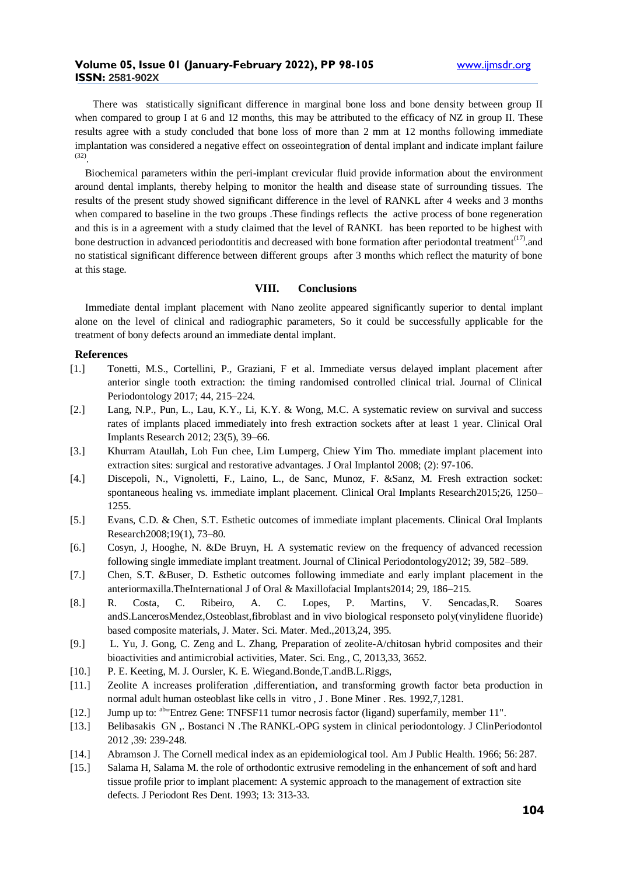## **Volume 05, Issue 01 (January-February 2022), PP 98-105** www.ijmsdr.org **ISSN: 2581-902X**

 There was statistically significant difference in marginal bone loss and bone density between group II when compared to group I at 6 and 12 months, this may be attributed to the efficacy of NZ in group II. These results agree with a study concluded that bone loss of more than 2 mm at 12 months following immediate implantation was considered a negative effect on osseointegration of dental implant and indicate implant failure (32) .

 Biochemical parameters within the peri-implant crevicular fluid provide information about the environment around dental implants, thereby helping to monitor the health and disease state of surrounding tissues. The results of the present study showed significant difference in the level of RANKL after 4 weeks and 3 months when compared to baseline in the two groups .These findings reflects the active process of bone regeneration and this is in a agreement with a study claimed that the level of RANKL has been reported to be highest with bone destruction in advanced periodontitis and decreased with bone formation after periodontal treatment $(17)$  and no statistical significant difference between different groups after 3 months which reflect the maturity of bone at this stage.

## **VIII. Conclusions**

 Immediate dental implant placement with Nano zeolite appeared significantly superior to dental implant alone on the level of clinical and radiographic parameters, So it could be successfully applicable for the treatment of bony defects around an immediate dental implant.

#### **References**

- [1.] Tonetti, M.S., Cortellini, P., Graziani, F et al. Immediate versus delayed implant placement after anterior single tooth extraction: the timing randomised controlled clinical trial. Journal of Clinical Periodontology 2017; 44, 215–224.
- [2.] Lang, N.P., Pun, L., Lau, K.Y., Li, K.Y. & Wong, M.C. A systematic review on survival and success rates of implants placed immediately into fresh extraction sockets after at least 1 year. Clinical Oral Implants Research 2012; 23(5), 39–66.
- [3.] Khurram Ataullah, Loh Fun chee, Lim Lumperg, Chiew Yim Tho. mmediate implant placement into extraction sites: surgical and restorative advantages. J Oral Implantol 2008; (2): 97-106.
- [4.] Discepoli, N., Vignoletti, F., Laino, L., de Sanc, Munoz, F. &Sanz, M. Fresh extraction socket: spontaneous healing vs. immediate implant placement. Clinical Oral Implants Research2015;26, 1250– 1255.
- [5.] Evans, C.D. & Chen, S.T. Esthetic outcomes of immediate implant placements. Clinical Oral Implants Research2008;19(1), 73–80.
- [6.] Cosyn, J, Hooghe, N. &De Bruyn, H. A systematic review on the frequency of advanced recession following single immediate implant treatment. Journal of Clinical Periodontology2012; 39, 582–589.
- [7.] Chen, S.T. &Buser, D. Esthetic outcomes following immediate and early implant placement in the anteriormaxilla.TheInternational J of Oral & Maxillofacial Implants2014; 29, 186–215.
- [8.] R. Costa, C. Ribeiro, A. C. Lopes, P. Martins, V. Sencadas,R. Soares andS.LancerosMendez,Osteoblast,fibroblast and in vivo biological responseto poly(vinylidene fluoride) based composite materials, J. Mater. Sci. Mater. Med.,2013,24, 395.
- [9.] L. Yu, J. Gong, C. Zeng and L. Zhang, Preparation of zeolite-A/chitosan hybrid composites and their bioactivities and antimicrobial activities, Mater. Sci. Eng., C, 2013,33, 3652.
- [10.] P. E. Keeting, M. J. Oursler, K. E. Wiegand.Bonde,T.andB.L.Riggs,
- [11.] Zeolite A increases proliferation ,differentiation, and transforming growth factor beta production in normal adult human osteoblast like cells in vitro , J . Bone Miner . Res. 1992,7,1281.
- [12.] [Jump](https://en.wikipedia.org/wiki/RANKL#cite_ref-entrez_16-0) up to: <sup>[ab](https://en.wikipedia.org/wiki/RANKL#cite_ref-entrez_16-0)</sup> ["Entrez Gene: TNFSF11 tumor necrosis factor \(ligand\) superfamily, member 11".](https://www.ncbi.nlm.nih.gov/sites/entrez?Db=gene&Cmd=ShowDetailView&TermToSearch=8600)
- [13.] Belibasakis GN ,. Bostanci N .The RANKL-OPG system in clinical periodontology. J ClinPeriodontol 2012 ,39: 239-248.
- [14.] Abramson J. The Cornell medical index as an epidemiological tool. Am J Public Health. 1966; 56: 287.
- [15.] Salama H, Salama M. the role of orthodontic extrusive remodeling in the enhancement of soft and hard tissue profile prior to implant placement: A systemic approach to the management of extraction site defects. J Periodont Res Dent. 1993; 13: 313-33.